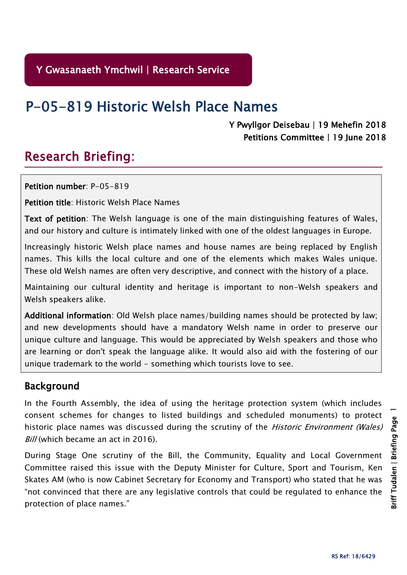# P-05-819 Historic Welsh Place Names

#### Y Pwyllgor Deisebau | 19 Mehefin 2018 Petitions Committee | 19 June 2018

# Research Briefing:

Petition number: P-05-819

Petition title: Historic Welsh Place Names

Text of petition: The Welsh language is one of the main distinguishing features of Wales, and our history and culture is intimately linked with one of the oldest languages in Europe.

Increasingly historic Welsh place names and house names are being replaced by English names. This kills the local culture and one of the elements which makes Wales unique. These old Welsh names are often very descriptive, and connect with the history of a place.

Maintaining our cultural identity and heritage is important to non-Welsh speakers and Welsh speakers alike.

Additional information: Old Welsh place names/building names should be protected by law; and new developments should have a mandatory Welsh name in order to preserve our unique culture and language. This would be appreciated by Welsh speakers and those who are learning or don't speak the language alike. It would also aid with the fostering of our unique trademark to the world - something which tourists love to see.

#### Background

In the Fourth Assembly, the idea of using the heritage protection system (which includes consent schemes for changes to listed buildings and scheduled monuments) to protect historic place names was discussed during the scrutiny of the *Historic Environment (Wales)* Bill (which became an act in 2016).

During Stage One scrutiny of the Bill, the Community, Equality and Local Government Committee raised this issue with the Deputy Minister for Culture, Sport and Tourism, Ken Skates AM (who is now Cabinet Secretary for Economy and Transport) who stated that he was "not convinced that there are any legislative controls that could be regulated to enhance the protection of place names."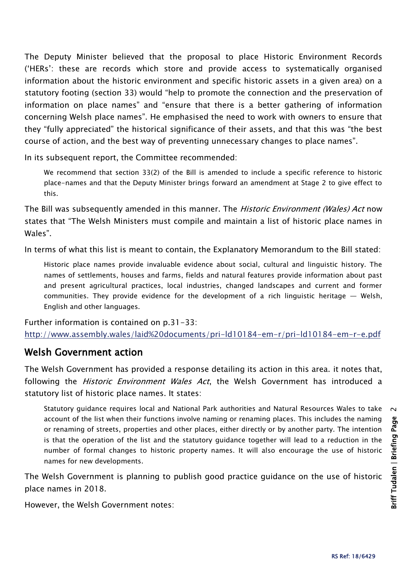The Deputy Minister believed that the proposal to place Historic Environment Records ('HERs': these are records which store and provide access to systematically organised information about the historic environment and specific historic assets in a given area) on a statutory footing (section 33) would "help to promote the connection and the preservation of information on place names" and "ensure that there is a better gathering of information concerning Welsh place names". He emphasised the need to work with owners to ensure that they "fully appreciated" the historical significance of their assets, and that this was "the best course of action, and the best way of preventing unnecessary changes to place names".

In its subsequent report, the Committee recommended:

We recommend that section 33(2) of the Bill is amended to include a specific reference to historic place-names and that the Deputy Minister brings forward an amendment at Stage 2 to give effect to this.

The Bill was subsequently amended in this manner. The *Historic Environment (Wales) Act* now states that "The Welsh Ministers must compile and maintain a list of historic place names in Wales".

In terms of what this list is meant to contain, the Explanatory Memorandum to the Bill stated:

Historic place names provide invaluable evidence about social, cultural and linguistic history. The names of settlements, houses and farms, fields and natural features provide information about past and present agricultural practices, local industries, changed landscapes and current and former communities. They provide evidence for the development of a rich linguistic heritage — Welsh, English and other languages.

Further information is contained on p.31-33: <http://www.assembly.wales/laid%20documents/pri-ld10184-em-r/pri-ld10184-em-r-e.pdf>

### Welsh Government action

The Welsh Government has provided a response detailing its action in this area. it notes that, following the *Historic Environment Wales Act*, the Welsh Government has introduced a statutory list of historic place names. It states:

Statutory guidance requires local and National Park authorities and Natural Resources Wales to take  $\sim$ account of the list when their functions involve naming or renaming places. This includes the naming or renaming of streets, properties and other places, either directly or by another party. The intention is that the operation of the list and the statutory guidance together will lead to a reduction in the number of formal changes to historic property names. It will also encourage the use of historic names for new developments.

The Welsh Government is planning to publish good practice guidance on the use of historic place names in 2018.

However, the Welsh Government notes: